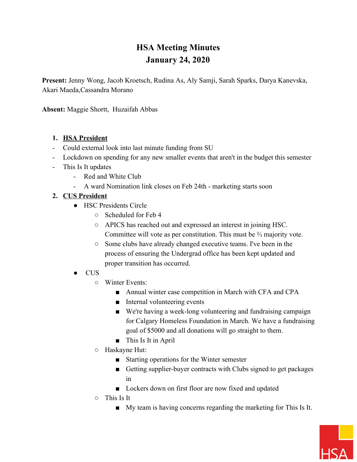# **HSA Meeting Minutes January 24, 2020**

**Present:** Jenny Wong, Jacob Kroetsch, Rudina As, Aly Samji, Sarah Sparks, Darya Kanevska, Akari Maeda,Cassandra Morano

**Absent:** Maggie Shortt, Huzaifah Abbas

#### **1. HSA President**

- Could external look into last minute funding from SU
- Lockdown on spending for any new smaller events that aren't in the budget this semester
- This Is It updates
	- Red and White Club
	- A ward Nomination link closes on Feb 24th marketing starts soon

## **2. CUS President**

- HSC Presidents Circle
	- Scheduled for Feb 4
	- APICS has reached out and expressed an interest in joining HSC. Committee will vote as per constitution. This must be ⅔ majority vote.
	- Some clubs have already changed executive teams. I've been in the process of ensuring the Undergrad office has been kept updated and proper transition has occurred.
- CUS
	- Winter Events:
		- Annual winter case competition in March with CFA and CPA
		- Internal volunteering events
		- We're having a week-long volunteering and fundraising campaign for Calgary Homeless Foundation in March. We have a fundraising goal of \$5000 and all donations will go straight to them.
		- This Is It in April
	- Haskayne Hut:
		- Starting operations for the Winter semester
		- Getting supplier-buyer contracts with Clubs signed to get packages in
		- Lockers down on first floor are now fixed and updated
	- This Is It
		- My team is having concerns regarding the marketing for This Is It.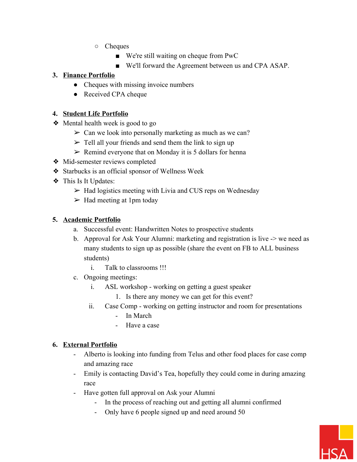- Cheques
	- We're still waiting on cheque from PwC
	- We'll forward the Agreement between us and CPA ASAP.

## **3. Finance Portfolio**

- Cheques with missing invoice numbers
- Received CPA cheque

#### **4. Student Life Portfolio**

- ❖ Mental health week is good to go
	- $\geq$  Can we look into personally marketing as much as we can?
	- $\triangleright$  Tell all your friends and send them the link to sign up
	- $\triangleright$  Remind everyone that on Monday it is 5 dollars for henna
- ❖ Mid-semester reviews completed
- ❖ Starbucks is an official sponsor of Wellness Week
- ❖ This Is It Updates:
	- $\triangleright$  Had logistics meeting with Livia and CUS reps on Wednesday
	- $\triangleright$  Had meeting at 1pm today

## **5. Academic Portfolio**

- a. Successful event: Handwritten Notes to prospective students
- b. Approval for Ask Your Alumni: marketing and registration is live -> we need as many students to sign up as possible (share the event on FB to ALL business students)
	- i. Talk to classrooms !!!
- c. Ongoing meetings:
	- i. ASL workshop working on getting a guest speaker
		- 1. Is there any money we can get for this event?
	- ii. Case Comp working on getting instructor and room for presentations
		- In March
		- Have a case

#### **6. External Portfolio**

- Alberto is looking into funding from Telus and other food places for case comp and amazing race
- Emily is contacting David's Tea, hopefully they could come in during amazing race
- Have gotten full approval on Ask your Alumni
	- In the process of reaching out and getting all alumni confirmed
	- Only have 6 people signed up and need around 50

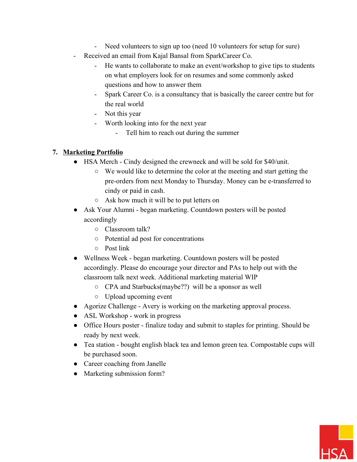- Need volunteers to sign up too (need 10 volunteers for setup for sure)
- Received an email from Kajal Bansal from SparkCareer Co.
	- He wants to collaborate to make an event/workshop to give tips to students on what employers look for on resumes and some commonly asked questions and how to answer them
	- Spark Career Co. is a consultancy that is basically the career centre but for the real world
	- Not this year
	- Worth looking into for the next year
		- Tell him to reach out during the summer

## **7. Marketing Portfolio**

- HSA Merch Cindy designed the crewneck and will be sold for \$40/unit.
	- We would like to determine the color at the meeting and start getting the pre-orders from next Monday to Thursday. Money can be e-transferred to cindy or paid in cash.
	- Ask how much it will be to put letters on
- Ask Your Alumni began marketing. Countdown posters will be posted accordingly
	- Classroom talk?
	- Potential ad post for concentrations
	- Post link
- Wellness Week began marketing. Countdown posters will be posted accordingly. Please do encourage your director and PAs to help out with the classroom talk next week. Additional marketing material WIP
	- CPA and Starbucks(maybe??) will be a sponsor as well
	- Upload upcoming event
- Agorize Challenge Avery is working on the marketing approval process.
- ASL Workshop work in progress
- Office Hours poster finalize today and submit to staples for printing. Should be ready by next week.
- Tea station bought english black tea and lemon green tea. Compostable cups will be purchased soon.
- Career coaching from Janelle
- Marketing submission form?